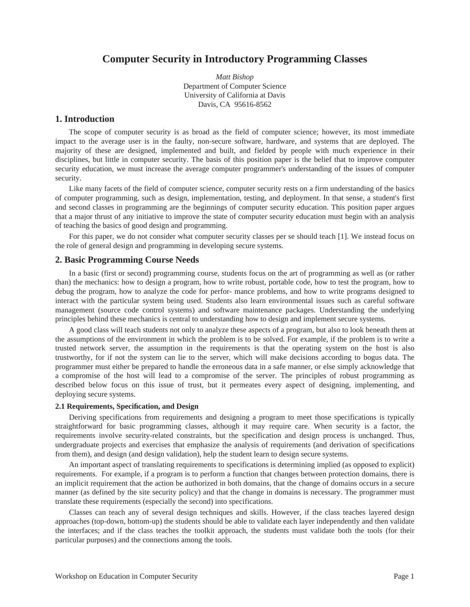# **Computer Security in Introductory Programming Classes**

*Matt Bishop* Department of Computer Science University of California at Davis Davis, CA 95616-8562

# **1. Introduction**

The scope of computer security is as broad as the field of computer science; however, its most immediate impact to the average user is in the faulty, non-secure software, hardware, and systems that are deployed. The majority of these are designed, implemented and built, and fielded by people with much experience in their disciplines, but little in computer security. The basis of this position paper is the belief that to improve computer security education, we must increase the average computer programmer's understanding of the issues of computer security.

Like many facets of the field of computer science, computer security rests on a firm understanding of the basics of computer programming, such as design, implementation, testing, and deployment. In that sense, a student's first and second classes in programming are the beginnings of computer security education. This position paper argues that a major thrust of any initiative to improve the state of computer security education must begin with an analysis of teaching the basics of good design and programming.

For this paper, we do not consider what computer security classes per se should teach [1]. We instead focus on the role of general design and programming in developing secure systems.

## **2. Basic Programming Course Needs**

In a basic (first or second) programming course, students focus on the art of programming as well as (or rather than) the mechanics: how to design a program, how to write robust, portable code, how to test the program, how to debug the program, how to analyze the code for perfor- mance problems, and how to write programs designed to interact with the particular system being used. Students also learn environmental issues such as careful software management (source code control systems) and software maintenance packages. Understanding the underlying principles behind these mechanics is central to understanding how to design and implement secure systems.

A good class will teach students not only to analyze these aspects of a program, but also to look beneath them at the assumptions of the environment in which the problem is to be solved. For example, if the problem is to write a trusted network server, the assumption in the requirements is that the operating system on the host is also trustworthy, for if not the system can lie to the server, which will make decisions according to bogus data. The programmer must either be prepared to handle the erroneous data in a safe manner, or else simply acknowledge that a compromise of the host will lead to a compromise of the server. The principles of robust programming as described below focus on this issue of trust, but it permeates every aspect of designing, implementing, and deploying secure systems.

### **2.1 Requirements, Specification, and Design**

Deriving specifications from requirements and designing a program to meet those specifications is typically straightforward for basic programming classes, although it may require care. When security is a factor, the requirements involve security-related constraints, but the specification and design process is unchanged. Thus, undergraduate projects and exercises that emphasize the analysis of requirements (and derivation of specifications from them), and design (and design validation), help the student learn to design secure systems.

An important aspect of translating requirements to specifications is determining implied (as opposed to explicit) requirements. For example, if a program is to perform a function that changes between protection domains, there is an implicit requirement that the action be authorized in both domains, that the change of domains occurs in a secure manner (as defined by the site security policy) and that the change in domains is necessary. The programmer must translate these requirements (especially the second) into specifications.

Classes can teach any of several design techniques and skills. However, if the class teaches layered design approaches (top-down, bottom-up) the students should be able to validate each layer independently and then validate the interfaces; and if the class teaches the toolkit approach, the students must validate both the tools (for their particular purposes) and the connections among the tools.